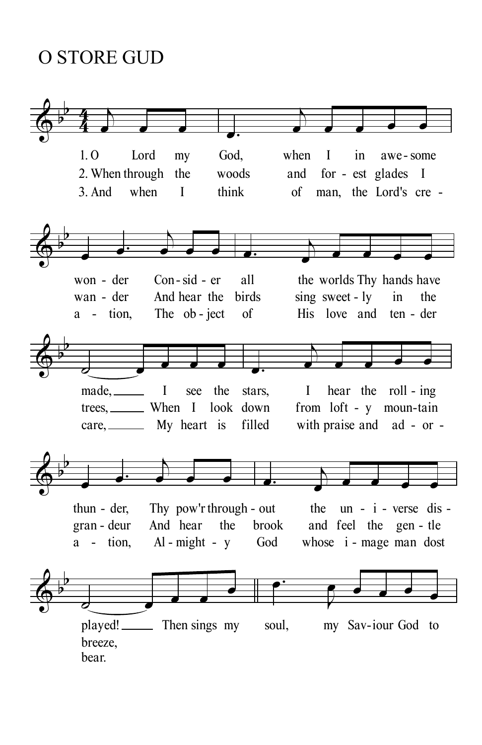O STORE GUD